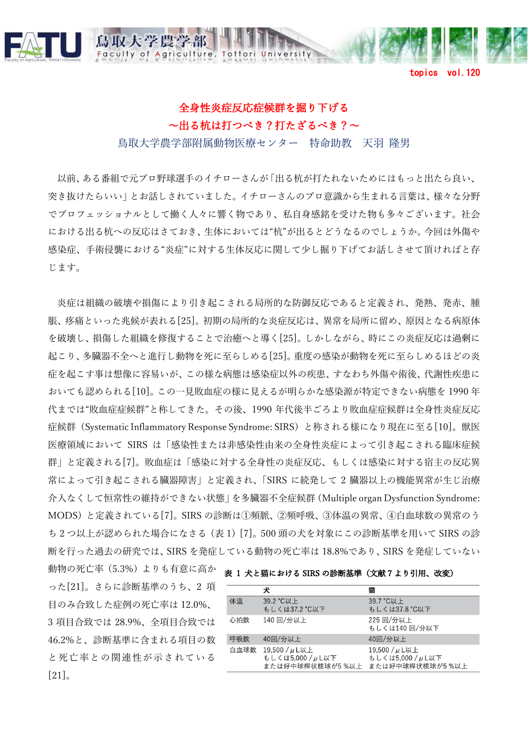

aculty of

## 全身性炎症反応症候群を掘り下げる 〜出る杭は打つべき?打たざるべき?〜

Agriculture, Tottori University

topics vol.120

鳥取大学農学部附属動物医療センター 特命助教 天羽 降男

以前、ある番組で元プロ野球選⼿のイチローさんが「出る杭が打たれないためにはもっと出たら良い、 突き抜けたらいい」とお話しされていました。イチローさんのプロ意識から⽣まれる⾔葉は、様々な分野 でプロフェッショナルとして働く人々に響く物であり、私自身感銘を受けた物も多々ございます。社会 における出る杭への反応はさておき、⽣体においては"杭"が出るとどうなるのでしょうか。今回は外傷や 感染症、手術侵襲における"炎症"に対する生体反応に関して少し掘り下げてお話しさせて頂ければと存 じます。

炎症は組織の破壊や損傷により引き起こされる局所的な防御反応であると定義され、発熱、発赤、腫 脹、疼痛といった兆候が表れる[25]。初期の局所的な炎症反応は、異常を局所に留め、原因となる病原体 を破壊し、損傷した組織を修復することで治癒へと導く[25]。しかしながら、時にこの炎症反応は過剰に 起こり、多臓器不全へと進行し動物を死に至らしめる[25]。重度の感染が動物を死に至らしめるほどの炎 症を起こす事は想像に容易いが、この様な病態は感染症以外の疾患、すなわち外傷や術後、代謝性疾患に おいても認められる[10]。この一見敗血症の様に見えるが明らかな感染源が特定できない病態を 1990 年 代までは"敗血症症候群"と称してきた。その後、1990 年代後半ごろより敗血症症候群は全身性炎症反応 症候群 (Systematic Inflammatory Response Syndrome: SIRS) と称される様になり現在に至る[10]。獣医 医療領域において SIRS は「感染性または非感染性由来の全身性炎症によって引き起こされる臨床症候 群」と定義される[7]。敗血症は「感染に対する全身性の炎症反応、もしくは感染に対する宿主の反応異 常によって引き起こされる臓器障害」と定義され、「SIRS に続発して 2 臓器以上の機能異常が⽣じ治療 介⼊なくして恒常性の維持ができない状態」を多臓器不全症候群(Multiple organ Dysfunction Syndrome: MODS)と定義されている[7]。SIRS の診断は①頻脈、②頻呼吸、③体温の異常、④⽩⾎球数の異常のう ち 2 つ以上が認められた場合になさる (表 1) [7]。500 頭の犬を対象にこの診断基準を用いて SIRS の診 断を⾏った過去の研究では、SIRS を発症している動物の死亡率は 18.8%であり、SIRS を発症していない

動物の死亡率(5.3%)よりも有意に高か <sub>表 1</sub> 犬と猫における SIRS の診断基準(文献7より引用、改変) った[21]。さらに診断基準のうち、2 項 ⽬のみ合致した症例の死亡率は 12.0%、 3 項⽬合致では 28.9%、全項⽬合致では 46.2%と、診断基準に含まれる項目の数 と死亡率との関連性が示されている  $\lceil 21 \rceil$ <sub>o</sub>

|      | 犬                                                    | 猫                                                     |
|------|------------------------------------------------------|-------------------------------------------------------|
| 体温   | 39.2 °C以上<br>もしくは37.2 °C以下                           | 39.7 °C以上<br>もしくは37.8 °C以下                            |
| 心拍数  | 140 回/分以上                                            | 225 回/分以上<br>もしくは140回/分以下                             |
| 呼吸数  | 40回/分以上                                              | 40回/分以上                                               |
| 白血球数 | 19,500 / µL以上<br>もしくは5,000 / µL以下<br>または好中球桿状核球が5%以上 | 19,500 / µ L以上<br>もしくは5,000 / µL以下<br>または好中球桿状核球が5%以上 |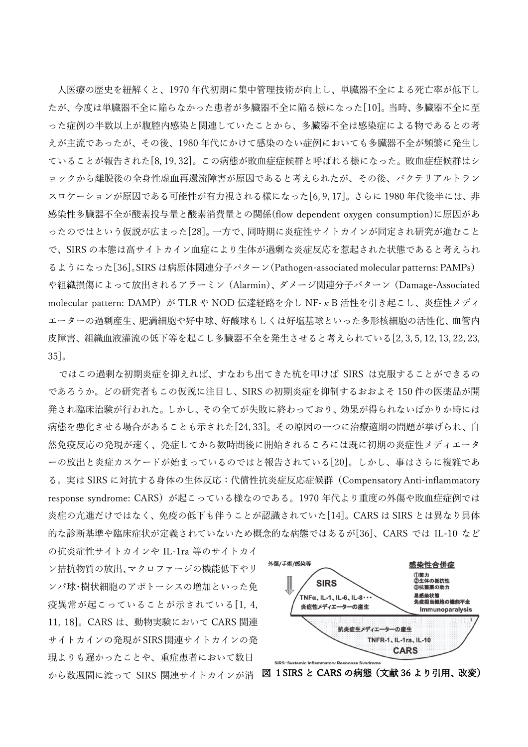⼈医療の歴史を紐解くと、1970 年代初期に集中管理技術が向上し、単臓器不全による死亡率が低下し たが、今度は単臓器不全に陥らなかった患者が多臓器不全に陥る様になった[10]。当時、多臓器不全に至 った症例の半数以上が腹腔内感染と関連していたことから、多臓器不全は感染症による物であるとの考 えが主流であったが、その後、1980 年代にかけて感染のない症例においても多臓器不全が頻繁に発生し ていることが報告された[8,19,32]。この病態が敗血症症候群と呼ばれる様になった。敗血症症候群はシ ョックから離脱後の全身性虚血再還流障害が原因であると考えられたが、その後、バクテリアルトラン スロケーションが原因である可能性が有力視される様になった[6,9,17]。さらに 1980 年代後半には、非 感染性多臓器不全が酸素投与量と酸素消費量との関係(flow dependent oxygen consumption)に原因があ ったのではという仮説が広まった[28]。一方で、同時期に炎症性サイトカインが同定され研究が進むこと で、SIRS の本態は高サイトカイン血症により生体が過剰な炎症反応を惹起された状態であると考えられ るようになった[36]。SIRS は病原体関連分⼦パターン(Pathogen-associated molecular patterns: PAMPs) や組織損傷によって放出されるアラーミン (Alarmin)、ダメージ関連分子パターン (Damage-Associated molecular pattern: DAMP) が TLR や NOD 伝達経路を介し NF-κB 活性を引き起こし、炎症性メディ エーターの過剰産生、肥満細胞や好中球、好酸球もしくは好塩基球といった多形核細胞の活性化、血管内 皮障害、組織血液灌流の低下等を起こし多臓器不全を発生させると考えられている[2, 3, 5, 12, 13, 22, 23, 35]。

ではこの過剰な初期炎症を抑えれば、すなわち出てきた杭を叩けば SIRS は克服することができるの であろうか。どの研究者もこの仮説に注⽬し、SIRS の初期炎症を抑制するおおよそ 150 件の医薬品が開 発され臨床治験が⾏われた。しかし、その全てが失敗に終わっており、効果が得られないばかりか時には 病態を悪化させる場合があることも示された[24, 33]。その原因の一つに治療適期の問題が挙げられ、自 然免疫反応の発現が速く、発症してから数時間後に開始されるころには既に初期の炎症性メディエータ ーの放出と炎症カスケードが始まっているのではと報告されている[20]。しかし、事はさらに複雑であ る。実は SIRS に対抗する⾝体の⽣体反応:代償性抗炎症反応症候群(Compensatory Anti-inflammatory response syndrome: CARS)が起こっている様なのである。1970 年代より重度の外傷や敗血症症例では 炎症の亢進だけではなく、免疫の低下も伴うことが認識されていた[14]。CARS は SIRS とは異なり具体 的な診断基準や臨床症状が定義されていないため概念的な病態ではあるが[36]、CARS では IL-10 など の抗炎症性サイトカインや IL-1ra 等のサイトカイ

ン拮抗物質の放出、マクロファージの機能低下やリ ンパ球・樹状細胞のアポトーシスの増加といった免 疫異常が起こっていることが示されている[1,4, 11, 18]。CARS は、動物実験において CARS 関連 サイトカインの発現が SIRS 関連サイトカインの発 現よりも遅かったことや、重症患者において数日 から数週間に渡って SIRS 関連サイトカインが消 図 1 SIRS と CARS の病態 (文献 36 より引用、改変)

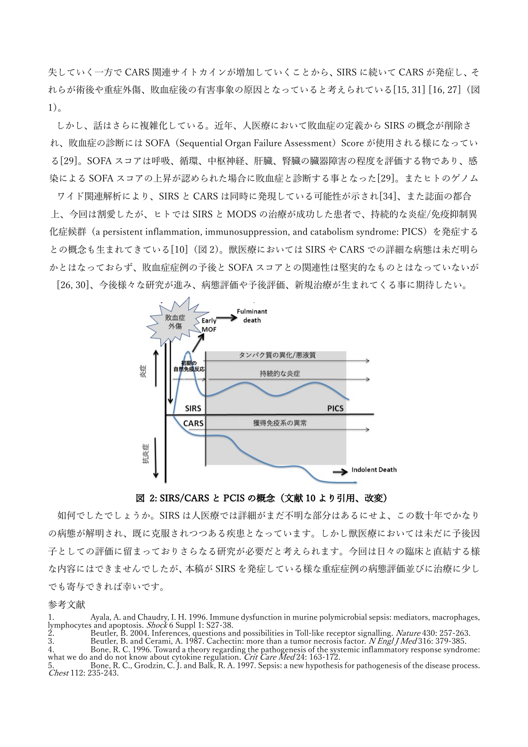失していく一方で CARS 関連サイトカインが増加していくことから、SIRS に続いて CARS が発症し、そ れらが術後や重症外傷、敗⾎症後の有害事象の原因となっていると考えられている[15, 31] [16, 27](図 1)。

しかし、話はさらに複雑化している。近年、人医療において敗血症の定義から SIRS の概念が削除さ れ、敗血症の診断には SOFA (Sequential Organ Failure Assessment) Score が使用される様になってい る[29]。SOFA スコアは呼吸、循環、中枢神経、肝臓、腎臓の臓器障害の程度を評価する物であり、感 染による SOFA スコアの上昇が認められた場合に敗血症と診断する事となった[29]。またヒトのゲノム

ワイド関連解析により、SIRS と CARS は同時に発現している可能性が⽰され[34]、また誌⾯の都合 上、今回は割愛したが、ヒトでは SIRS と MODS の治療が成功した患者で、持続的な炎症/免疫抑制異 化症候群(a persistent inflammation, immunosuppression, and catabolism syndrome: PICS)を発症する との概念も生まれてきている[10] (図 2)。獣医療においては SIRS や CARS での詳細な病態は未だ明ら かとはなっておらず、敗血症症例の予後と SOFA スコアとの関連性は堅実的なものとはなっていないが [26, 30]、今後様々な研究が進み、病態評価や予後評価、新規治療が⽣まれてくる事に期待したい。



## 図 2: SIRS/CARS と PCIS の概念 (文献 10 より引用、改変)

如何でしたでしょうか。SIRS は人医療では詳細がまだ不明な部分はあるにせよ、この数十年でかなり の病態が解明され、既に克服されつつある疾患となっています。しかし獣医療においては未だに予後因 子としての評価に留まっておりさらなる研究が必要だと考えられます。今回は日々の臨床と直結する様 な内容にはできませんでしたが、本稿が SIRS を発症している様な重症症例の病態評価並びに治療に少し でも寄与できれば幸いです。

## 参考⽂献

2. Beutler, B. 2004. Inferences, questions and possibilities in Toll-like receptor signalling. *Nature* 430: 257-263.

3. Beutler, B. and Cerami, A. 1987. Cachectin: more than a tumor necrosis factor. *N Engl J Med* 316: 379-385. 4. Bone, R. C. 1996. Toward a theory regarding the pathogenesis of the systemic inflammatory response syndrome:<br>what we do and do not know about cytokine regulation. *Crit Care Med* 24: 163-172.

5. Bone, R. C., Grodzin, C. J. and Balk, R. A. 1997. Sepsis: a new hypothesis for pathogenesis of the disease process.<br>Chest 112: 235-243. Chest 112: 235-243.

<sup>1.</sup> Ayala, A. and Chaudry, I. H. 1996. Immune dysfunction in murine polymicrobial sepsis: mediators, macrophages, lymphocytes and apoptosis. *Shock* 6 Suppl 1: S27-38.<br>
2. Beutler, B. 2004. Inferences, questions and possibi